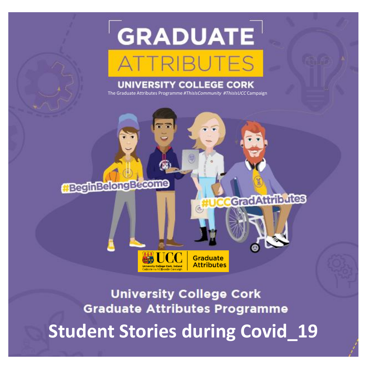# GRADUATE **RIBUTES**

### **UNIVERSITY COLLEGE CORK**

The Graduate Attributes Programme *#ThisIsCommunity #ThisIsUCC* Campaign

**GradAttributes** 

### **HegginBelongBecome**

## **University College Cork Graduate Attributes Programme Student Stories during Covid\_19**

**Graduate Attributes** 

TICC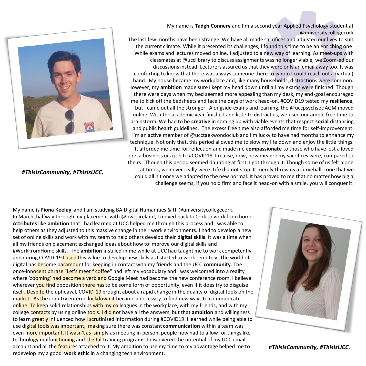

*#ThisIsCommunity, #ThisIsUCC.*

My name is **Tadgh Connery** and I'm a second year Applied Psychology student at @universitycollegecork

The last few months have been strange. We have all made sacrifices and adjusted our lives to suit the current climate. While it presented its challenges, I found this time to be an enriching one. While exams and lectures moved online, I adjusted to a new way of learning. As meet-ups with classmates at @ucclibrary to discuss assignments was no longer viable, we Zoom-ed our discussions instead. Lecturers assured us that they were only an email away too. It was comforting to know that there was always someone there to whom I could reach out a (virtual) hand. My house became my workplace and, like many households, distractions were common. However, my **ambition** made sure I kept my head down until all my exams were finished. Though there were days when my bed seemed more appealing than my desk, my end-goal encouraged me to kick off the bedsheets and face the days of work head-on. #COVID19 tested my **resilience**, but I came out all the stronger. Alongside exams and learning, the @uccpsychsoc AGM moved online. With the academic year finished and little to distract us, we used our ample free time to brainstorm. We had to be **creative** in coming up with viable events that respect **social** distancing and public health guidelines. The excess free time also afforded me time for self-improvement. I'm an active member of @ucctaekwondoclub and I'm lucky to have had months to enhance my technique. Not only that, this period allowed me to slow my life down and enjoy the little things. It afforded me time for reflection and made me **compassionate** to those who have lost a loved one, a business or a job to #COVID19. I realise, now, how meagre my sacrifices were, compared to theirs. Though this period seemed daunting at first, I got through it. Though some of us felt alone at times, we never really were. Life did not stop. It merely threw us a curveball - one that we could all hit once we adapted to the new normal. It has proved to me that no matter how big a

challenge seems, if you hold firm and face it head-on with a smile, you will conquer it.

My name **is Fiona Keeley**, and I am studying BA Digital Humanities & IT @universitycollegecork. In March, halfway through my placement with @pwc\_ireland, I moved back to Cork to work from home. **Attributes** like **ambition** that I had learned at UCC helped me through this process and I was able to help others as they adjusted to this massive change in their work environments. I had to develop a new set of online skills and work with my team to help others develop their **digital skills**. It was a time when all my friends on placement exchanged ideas about how to improve our digital skills and #WorkFromHome skills. The **ambition** instilled in me while at UCC had taught me to work competently and during COVID-19 I used this value to develop new skills as I started to work remotely. The world of digital has become paramount for keeping in contact with my friends and the UCC **community**. The once-innocent phrase "Let's meet f coffee" had left my vocabulary and I was welcomed into a reality where 'zooming' had become a verb and Google Meet had become the new conference room. I believe wherever you find opposition there has to be some form of opportunity, even if it does try to disguise itself. Despite the upheaval, COVID-19 brought about a rapid change in the quality of digital tools on the market. As the country entered lockdown it became a necessity to find new ways to communicate online. To keep solid relationships with my colleagues in the workplace, with my friends, and with my college contacts by using online tools. I did not have all the answers, but that **ambition** and willingness to learn greatly influenced how I scrutinized information during #COVID19. I learned while being able to use digital tools was important, making sure there was constant **communication** within a team was even more important. It wasn't as simply as meeting in person, people now had to allow for things like technology malfunctioning and digital training programs. I discovered the potential of my UCC email account and all the features attached to it. My ambition to use my time to my advantage helped me to redevelop my a good **work ethic** in a changing tech environment.



#*ThisIsCommunity, #ThisIsUCC.*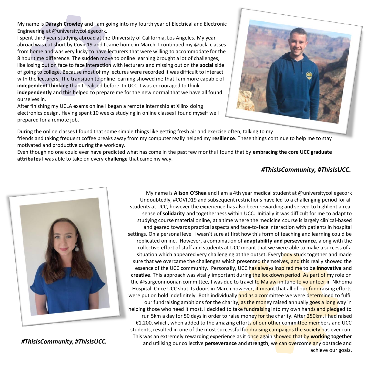My name is **Daragh Crowley** and I am going into my fourth year of Electrical and Electronic Engineering at @universitycollegecork.

I spent third year studying abroad at the University of California, Los Angeles. My year abroad was cut short by Covid19 and I came home in March. I continued my @ucla classes from home and was very lucky to have lecturers that were willing to accommodate for the 8 hour time difference. The sudden move to online learning brought a lot of challenges, like losing out on face to face interaction with lecturers and missing out on the **social** side of going to college. Because most of my lectures were recorded it was difficult to interact with the lecturers. The transition to online learning showed me that I am more capable of **independent thinking** than I realised before. In UCC, I was encouraged to think **independently** and this helped to prepare me for the new normal that we have all found ourselves in.

After finishing my UCLA exams online I began a remote internship at Xilinx doing electronics design. Having spent 10 weeks studying in online classes I found myself well prepared for a remote job.



During the online classes I found that some simple things like getting fresh air and exercise often, talking to my friends and taking frequent coffee breaks away from my computer really helped my **resilience**. These things continue to help me to stay motivated and productive during the workday.

Even though no one could ever have predicted what has come in the past few months I found that by **embracing the core UCC graduate attributes** I was able to take on every **challenge** that came my way.

### *#ThisIsCommunity, #ThisIsUCC.*



*#ThisIsCommunity, #ThisIsUCC.*

My name is **Alison O'Shea** and I am a 4th year medical student at @universitycollegecork Undoubtedly, #COVID19 and subsequent restrictions have led to a challenging period for all students at UCC, however the experience has also been rewarding and served to highlight a real sense of **solidarity** and togetherness within UCC. Initially it was difficult for me to adapt to studying course material online, at a time where the medicine course is largely clinical-based and geared towards practical aspects and face-to-face interaction with patients in hospital settings. On a personal level I wasn't sure at first how this form of teaching and learning could be replicated online. However, a combination of **adaptability and perseverance**, along with the collective effort of staff and students at UCC meant that we were able to make a success of a situation which appeared very challenging at the outset. Everybody stuck together and made sure that we overcame the challenges which presented themselves, and this really showed the essence of the UCC community. Personally, UCC has always inspired me to be **innovative** and **creative**. This approach was vitally important during the lockdown period. As part of my role on the @surgeonnoonan committee, I was due to travel to Malawi in June to volunteer in Nkhoma Hospital. Once UCC shut its doors in March however, it meant that all of our fundraising efforts were put on hold indefinitely. Both individually and as a committee we were determined to fulfil our fundraising ambitions for the charity, as the money raised annually goes a long way in helping those who need it most. I decided to take fundraising into my own hands and pledged to run 5km a day for 50 days in order to raise money for the charity. After 250km, I had raised €1,200, which, when added to the amazing efforts of our other committee members and UCC students, resulted in one of the most successful fundraising campaigns the society has ever run. This was an extremely rewarding experience as it once again showed that by **working together**  and utilising our collective **perseverance** and **strength**, we can overcome any obstacle and achieve our goals.